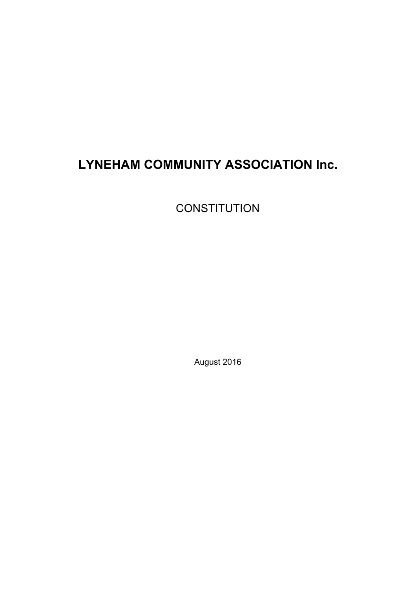# **LYNEHAM COMMUNITY ASSOCIATION Inc.**

**CONSTITUTION** 

August 2016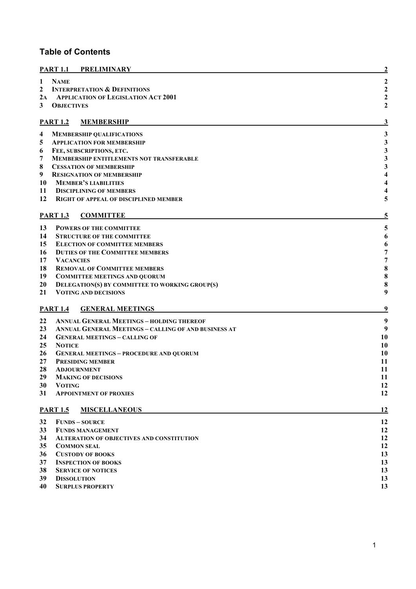#### **Table of Contents**

|              | <b>PART 1.1 PRELIMINARY</b>                                 | 2                                          |
|--------------|-------------------------------------------------------------|--------------------------------------------|
| $\mathbf{1}$ | <b>NAME</b>                                                 | $\boldsymbol{2}$                           |
| $\mathbf{2}$ | <b>INTERPRETATION &amp; DEFINITIONS</b>                     | $\boldsymbol{2}$                           |
|              | 2A APPLICATION OF LEGISLATION ACT 2001                      | $\boldsymbol{2}$                           |
| 3            | <b>OBJECTIVES</b>                                           | $\mathbf{2}$                               |
|              | <b>PART 1.2</b><br><b>MEMBERSHIP</b>                        | 3                                          |
| 4            | <b>MEMBERSHIP QUALIFICATIONS</b>                            | 3                                          |
| 5            | <b>APPLICATION FOR MEMBERSHIP</b>                           |                                            |
| 6            | FEE, SUBSCRIPTIONS, ETC.                                    | $\begin{array}{c} 3 \\ 3 \\ 3 \end{array}$ |
| 7            | <b>MEMBERSHIP ENTITLEMENTS NOT TRANSFERABLE</b>             |                                            |
| 8            | <b>CESSATION OF MEMBERSHIP</b>                              | $\mathbf{3}$                               |
| 9            | <b>RESIGNATION OF MEMBERSHIP</b>                            | $\overline{\mathbf{4}}$                    |
| 10           | <b>MEMBER'S LIABILITIES</b>                                 | $\overline{\mathbf{4}}$                    |
| 11           | <b>DISCIPLINING OF MEMBERS</b>                              | 4                                          |
| 12           | <b>RIGHT OF APPEAL OF DISCIPLINED MEMBER</b>                | 5                                          |
|              | <b>PART 1.3</b><br><b>COMMITTEE</b>                         | 5                                          |
| 13           | <b>POWERS OF THE COMMITTEE</b>                              | 5                                          |
| 14           | <b>STRUCTURE OF THE COMMITTEE</b>                           | 6                                          |
| 15           | <b>ELECTION OF COMMITTEE MEMBERS</b>                        | 6                                          |
| 16           | <b>DUTIES OF THE COMMITTEE MEMBERS</b>                      | 7                                          |
| 17           | <b>VACANCIES</b>                                            | 7                                          |
| 18           | <b>REMOVAL OF COMMITTEE MEMBERS</b>                         | 8                                          |
| 19           | <b>COMMITTEE MEETINGS AND QUORUM</b>                        | 8                                          |
| 20           | DELEGATION(S) BY COMMITTEE TO WORKING GROUP(S)              | 8                                          |
| 21           | <b>VOTING AND DECISIONS</b>                                 | 9                                          |
|              | <b>PART 1.4</b><br><b>GENERAL MEETINGS</b>                  | 9                                          |
| 22           | <b>ANNUAL GENERAL MEETINGS - HOLDING THEREOF</b>            | 9                                          |
| 23           | <b>ANNUAL GENERAL MEETINGS - CALLING OF AND BUSINESS AT</b> | 9                                          |
| 24           | <b>GENERAL MEETINGS - CALLING OF</b>                        | 10                                         |
| 25           | <b>NOTICE</b>                                               | 10                                         |
| 26           | <b>GENERAL MEETINGS - PROCEDURE AND QUORUM</b>              | 10                                         |
| 27           | <b>PRESIDING MEMBER</b>                                     | 11                                         |
| 28           | <b>ADJOURNMENT</b>                                          | 11                                         |
| 29<br>30     | <b>MAKING OF DECISIONS</b><br><b>VOTING</b>                 | 11<br>12                                   |
| 31           | <b>APPOINTMENT OF PROXIES</b>                               | 12                                         |
|              | <b>PART 1.5</b><br><b>MISCELLANEOUS</b>                     | 12                                         |
| 32           | <b>FUNDS - SOURCE</b>                                       | 12                                         |
| 33           | <b>FUNDS MANAGEMENT</b>                                     | 12                                         |
| 34           | <b>ALTERATION OF OBJECTIVES AND CONSTITUTION</b>            | 12                                         |
| 35           | <b>COMMON SEAL</b>                                          | 12                                         |
| 36           | <b>CUSTODY OF BOOKS</b>                                     | 13                                         |
| 37           | <b>INSPECTION OF BOOKS</b>                                  | 13                                         |
| 38           | <b>SERVICE OF NOTICES</b>                                   | 13                                         |
| 39           | <b>DISSOLUTION</b>                                          | 13                                         |
| 40           | <b>SURPLUS PROPERTY</b>                                     | 13                                         |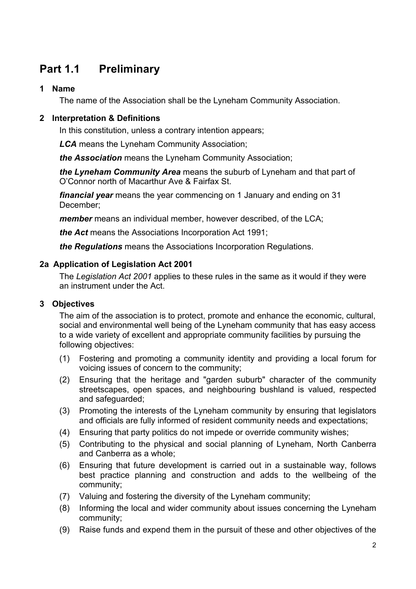## **Part 1.1 Preliminary**

#### **1 Name**

The name of the Association shall be the Lyneham Community Association.

#### **2 Interpretation & Definitions**

In this constitution, unless a contrary intention appears;

*LCA* means the Lyneham Community Association;

*the Association* means the Lyneham Community Association;

*the Lyneham Community Area* means the suburb of Lyneham and that part of O'Connor north of Macarthur Ave & Fairfax St.

*financial year* means the year commencing on 1 January and ending on 31 December;

*member* means an individual member, however described, of the LCA;

*the Act* means the Associations Incorporation Act 1991;

*the Regulations* means the Associations Incorporation Regulations.

#### **2a Application of Legislation Act 2001**

The *Legislation Act 2001* applies to these rules in the same as it would if they were an instrument under the Act.

#### **3 Objectives**

The aim of the association is to protect, promote and enhance the economic, cultural, social and environmental well being of the Lyneham community that has easy access to a wide variety of excellent and appropriate community facilities by pursuing the following objectives:

- (1) Fostering and promoting a community identity and providing a local forum for voicing issues of concern to the community;
- (2) Ensuring that the heritage and "garden suburb" character of the community streetscapes, open spaces, and neighbouring bushland is valued, respected and safeguarded;
- (3) Promoting the interests of the Lyneham community by ensuring that legislators and officials are fully informed of resident community needs and expectations;
- (4) Ensuring that party politics do not impede or override community wishes;
- (5) Contributing to the physical and social planning of Lyneham, North Canberra and Canberra as a whole;
- (6) Ensuring that future development is carried out in a sustainable way, follows best practice planning and construction and adds to the wellbeing of the community;
- (7) Valuing and fostering the diversity of the Lyneham community;
- (8) Informing the local and wider community about issues concerning the Lyneham community;
- (9) Raise funds and expend them in the pursuit of these and other objectives of the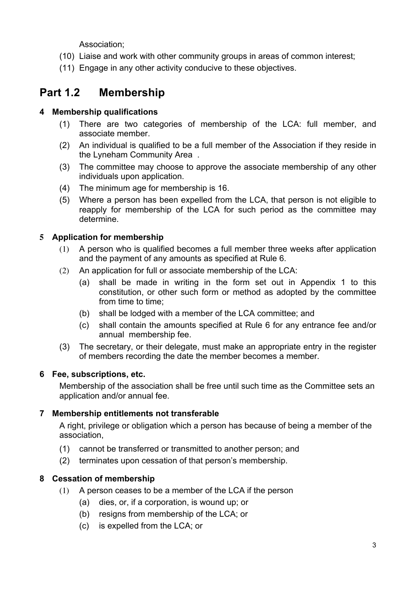Association;

- (10) Liaise and work with other community groups in areas of common interest;
- (11) Engage in any other activity conducive to these objectives.

## **Part 1.2 Membership**

#### **4 Membership qualifications**

- (1) There are two categories of membership of the LCA: full member, and associate member.
- (2) An individual is qualified to be a full member of the Association if they reside in the Lyneham Community Area .
- (3) The committee may choose to approve the associate membership of any other individuals upon application.
- (4) The minimum age for membership is 16.
- (5) Where a person has been expelled from the LCA, that person is not eligible to reapply for membership of the LCA for such period as the committee may determine.

#### **5 Application for membership**

- (1) A person who is qualified becomes a full member three weeks after application and the payment of any amounts as specified at Rule 6.
- (2) An application for full or associate membership of the LCA:
	- (a) shall be made in writing in the form set out in Appendix 1 to this constitution, or other such form or method as adopted by the committee from time to time;
	- (b) shall be lodged with a member of the LCA committee; and
	- (c) shall contain the amounts specified at Rule 6 for any entrance fee and/or annual membership fee.
- (3) The secretary, or their delegate, must make an appropriate entry in the register of members recording the date the member becomes a member.

#### **6 Fee, subscriptions, etc.**

Membership of the association shall be free until such time as the Committee sets an application and/or annual fee.

#### **7 Membership entitlements not transferable**

A right, privilege or obligation which a person has because of being a member of the association,

- (1) cannot be transferred or transmitted to another person; and
- (2) terminates upon cessation of that person's membership.

#### **8 Cessation of membership**

- (1) A person ceases to be a member of the LCA if the person
	- (a) dies, or, if a corporation, is wound up; or
	- (b) resigns from membership of the LCA; or
	- (c) is expelled from the LCA; or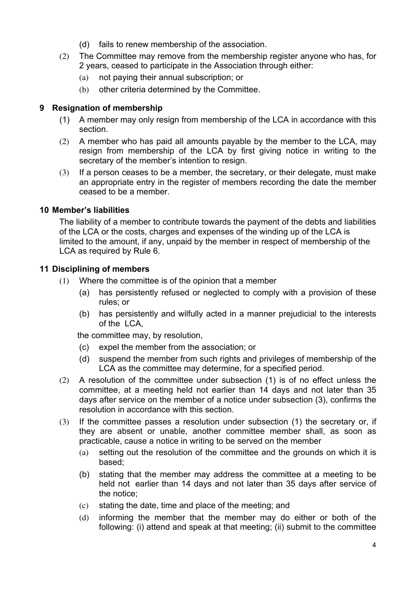- (d) fails to renew membership of the association.
- (2) The Committee may remove from the membership register anyone who has, for 2 years, ceased to participate in the Association through either:
	- (a) not paying their annual subscription; or
	- (b) other criteria determined by the Committee.

#### **9 Resignation of membership**

- (1) A member may only resign from membership of the LCA in accordance with this section.
- (2) A member who has paid all amounts payable by the member to the LCA, may resign from membership of the LCA by first giving notice in writing to the secretary of the member's intention to resign.
- (3) If a person ceases to be a member, the secretary, or their delegate, must make an appropriate entry in the register of members recording the date the member ceased to be a member.

#### **10 Member's liabilities**

The liability of a member to contribute towards the payment of the debts and liabilities of the LCA or the costs, charges and expenses of the winding up of the LCA is limited to the amount, if any, unpaid by the member in respect of membership of the LCA as required by Rule 6.

#### **11 Disciplining of members**

- (1) Where the committee is of the opinion that a member
	- (a) has persistently refused or neglected to comply with a provision of these rules; or
	- (b) has persistently and wilfully acted in a manner prejudicial to the interests of the LCA,

the committee may, by resolution,

- (c) expel the member from the association; or
- (d) suspend the member from such rights and privileges of membership of the LCA as the committee may determine, for a specified period.
- (2) A resolution of the committee under subsection (1) is of no effect unless the committee, at a meeting held not earlier than 14 days and not later than 35 days after service on the member of a notice under subsection (3), confirms the resolution in accordance with this section.
- (3) If the committee passes a resolution under subsection (1) the secretary or, if they are absent or unable, another committee member shall, as soon as practicable, cause a notice in writing to be served on the member
	- (a) setting out the resolution of the committee and the grounds on which it is based;
	- (b) stating that the member may address the committee at a meeting to be held not earlier than 14 days and not later than 35 days after service of the notice;
	- (c) stating the date, time and place of the meeting; and
	- (d) informing the member that the member may do either or both of the following: (i) attend and speak at that meeting; (ii) submit to the committee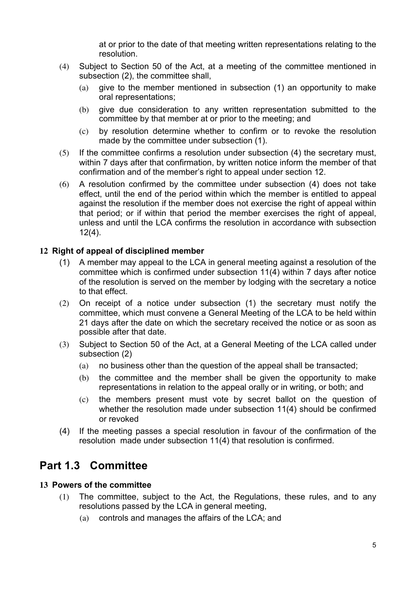at or prior to the date of that meeting written representations relating to the resolution.

- (4) Subject to Section 50 of the Act, at a meeting of the committee mentioned in subsection (2), the committee shall,
	- (a) give to the member mentioned in subsection (1) an opportunity to make oral representations;
	- (b) give due consideration to any written representation submitted to the committee by that member at or prior to the meeting; and
	- (c) by resolution determine whether to confirm or to revoke the resolution made by the committee under subsection (1).
- (5) If the committee confirms a resolution under subsection (4) the secretary must, within 7 days after that confirmation, by written notice inform the member of that confirmation and of the member's right to appeal under section 12.
- (6) A resolution confirmed by the committee under subsection (4) does not take effect, until the end of the period within which the member is entitled to appeal against the resolution if the member does not exercise the right of appeal within that period; or if within that period the member exercises the right of appeal, unless and until the LCA confirms the resolution in accordance with subsection  $12(4)$ .

#### **12 Right of appeal of disciplined member**

- (1) A member may appeal to the LCA in general meeting against a resolution of the committee which is confirmed under subsection 11(4) within 7 days after notice of the resolution is served on the member by lodging with the secretary a notice to that effect.
- (2) On receipt of a notice under subsection (1) the secretary must notify the committee, which must convene a General Meeting of the LCA to be held within 21 days after the date on which the secretary received the notice or as soon as possible after that date.
- (3) Subject to Section 50 of the Act, at a General Meeting of the LCA called under subsection (2)
	- (a) no business other than the question of the appeal shall be transacted;
	- (b) the committee and the member shall be given the opportunity to make representations in relation to the appeal orally or in writing, or both; and
	- (c) the members present must vote by secret ballot on the question of whether the resolution made under subsection 11(4) should be confirmed or revoked
- (4) If the meeting passes a special resolution in favour of the confirmation of the resolution made under subsection 11(4) that resolution is confirmed.

### **Part 1.3 Committee**

#### **13 Powers of the committee**

- (1) The committee, subject to the Act, the Regulations, these rules, and to any resolutions passed by the LCA in general meeting,
	- (a) controls and manages the affairs of the LCA; and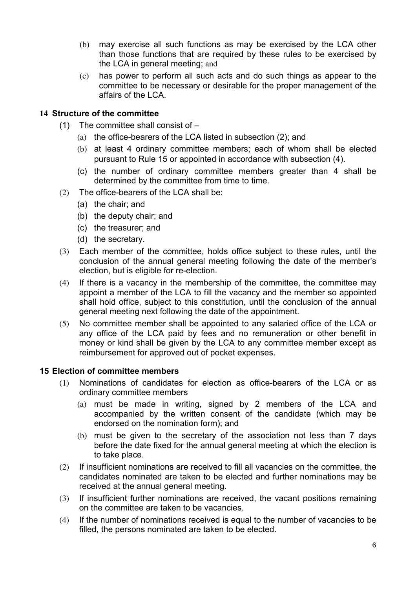- (b) may exercise all such functions as may be exercised by the LCA other than those functions that are required by these rules to be exercised by the LCA in general meeting; and
- (c) has power to perform all such acts and do such things as appear to the committee to be necessary or desirable for the proper management of the affairs of the LCA.

#### **14 Structure of the committee**

- (1) The committee shall consist of
	- (a) the office-bearers of the LCA listed in subsection (2); and
	- (b) at least 4 ordinary committee members; each of whom shall be elected pursuant to Rule 15 or appointed in accordance with subsection (4).
	- (c) the number of ordinary committee members greater than 4 shall be determined by the committee from time to time.
- (2) The office-bearers of the LCA shall be:
	- (a) the chair; and
	- (b) the deputy chair; and
	- (c) the treasurer; and
	- (d) the secretary.
- (3) Each member of the committee, holds office subject to these rules, until the conclusion of the annual general meeting following the date of the member's election, but is eligible for re-election.
- (4) If there is a vacancy in the membership of the committee, the committee may appoint a member of the LCA to fill the vacancy and the member so appointed shall hold office, subject to this constitution, until the conclusion of the annual general meeting next following the date of the appointment.
- (5) No committee member shall be appointed to any salaried office of the LCA or any office of the LCA paid by fees and no remuneration or other benefit in money or kind shall be given by the LCA to any committee member except as reimbursement for approved out of pocket expenses.

#### **15 Election of committee members**

- (1) Nominations of candidates for election as office-bearers of the LCA or as ordinary committee members
	- (a) must be made in writing, signed by 2 members of the LCA and accompanied by the written consent of the candidate (which may be endorsed on the nomination form); and
	- (b) must be given to the secretary of the association not less than 7 days before the date fixed for the annual general meeting at which the election is to take place.
- (2) If insufficient nominations are received to fill all vacancies on the committee, the candidates nominated are taken to be elected and further nominations may be received at the annual general meeting.
- (3) If insufficient further nominations are received, the vacant positions remaining on the committee are taken to be vacancies.
- (4) If the number of nominations received is equal to the number of vacancies to be filled, the persons nominated are taken to be elected.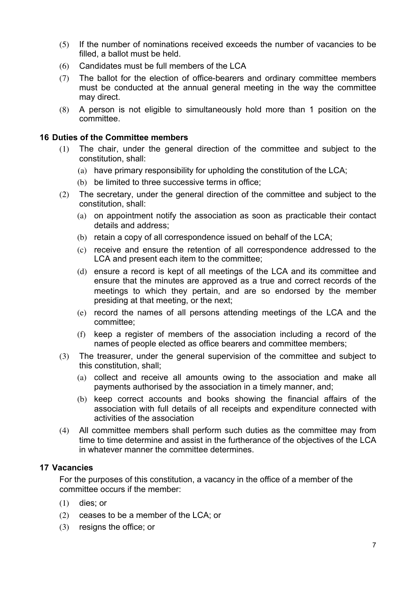- (5) If the number of nominations received exceeds the number of vacancies to be filled, a ballot must be held.
- (6) Candidates must be full members of the LCA
- (7) The ballot for the election of office-bearers and ordinary committee members must be conducted at the annual general meeting in the way the committee may direct.
- (8) A person is not eligible to simultaneously hold more than 1 position on the committee.

#### **16 Duties of the Committee members**

- (1) The chair, under the general direction of the committee and subject to the constitution, shall:
	- (a) have primary responsibility for upholding the constitution of the LCA;
	- (b) be limited to three successive terms in office;
- (2) The secretary, under the general direction of the committee and subject to the constitution, shall:
	- (a) on appointment notify the association as soon as practicable their contact details and address;
	- (b) retain a copy of all correspondence issued on behalf of the LCA;
	- (c) receive and ensure the retention of all correspondence addressed to the LCA and present each item to the committee;
	- (d) ensure a record is kept of all meetings of the LCA and its committee and ensure that the minutes are approved as a true and correct records of the meetings to which they pertain, and are so endorsed by the member presiding at that meeting, or the next;
	- (e) record the names of all persons attending meetings of the LCA and the committee;
	- (f) keep a register of members of the association including a record of the names of people elected as office bearers and committee members;
- (3) The treasurer, under the general supervision of the committee and subject to this constitution, shall;
	- (a) collect and receive all amounts owing to the association and make all payments authorised by the association in a timely manner, and;
	- (b) keep correct accounts and books showing the financial affairs of the association with full details of all receipts and expenditure connected with activities of the association
- (4) All committee members shall perform such duties as the committee may from time to time determine and assist in the furtherance of the objectives of the LCA in whatever manner the committee determines.

#### **17 Vacancies**

For the purposes of this constitution, a vacancy in the office of a member of the committee occurs if the member:

- (1) dies; or
- (2) ceases to be a member of the LCA; or
- (3) resigns the office; or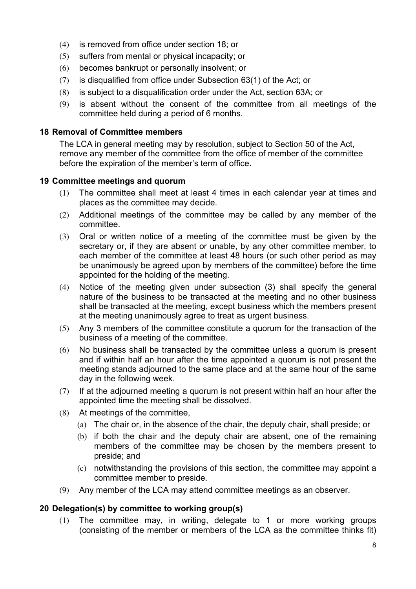- (4) is removed from office under section 18; or
- (5) suffers from mental or physical incapacity; or
- (6) becomes bankrupt or personally insolvent; or
- (7) is disqualified from office under Subsection 63(1) of the Act; or
- (8) is subject to a disqualification order under the Act, section 63A; or
- (9) is absent without the consent of the committee from all meetings of the committee held during a period of 6 months.

#### **18 Removal of Committee members**

The LCA in general meeting may by resolution, subject to Section 50 of the Act, remove any member of the committee from the office of member of the committee before the expiration of the member's term of office.

#### **19 Committee meetings and quorum**

- (1) The committee shall meet at least 4 times in each calendar year at times and places as the committee may decide.
- (2) Additional meetings of the committee may be called by any member of the committee.
- (3) Oral or written notice of a meeting of the committee must be given by the secretary or, if they are absent or unable, by any other committee member, to each member of the committee at least 48 hours (or such other period as may be unanimously be agreed upon by members of the committee) before the time appointed for the holding of the meeting.
- (4) Notice of the meeting given under subsection (3) shall specify the general nature of the business to be transacted at the meeting and no other business shall be transacted at the meeting, except business which the members present at the meeting unanimously agree to treat as urgent business.
- (5) Any 3 members of the committee constitute a quorum for the transaction of the business of a meeting of the committee.
- (6) No business shall be transacted by the committee unless a quorum is present and if within half an hour after the time appointed a quorum is not present the meeting stands adjourned to the same place and at the same hour of the same day in the following week.
- (7) If at the adjourned meeting a quorum is not present within half an hour after the appointed time the meeting shall be dissolved.
- (8) At meetings of the committee,
	- (a) The chair or, in the absence of the chair, the deputy chair, shall preside; or
	- (b) if both the chair and the deputy chair are absent, one of the remaining members of the committee may be chosen by the members present to preside; and
	- (c) notwithstanding the provisions of this section, the committee may appoint a committee member to preside.
- (9) Any member of the LCA may attend committee meetings as an observer.

#### **20 Delegation(s) by committee to working group(s)**

(1) The committee may, in writing, delegate to 1 or more working groups (consisting of the member or members of the LCA as the committee thinks fit)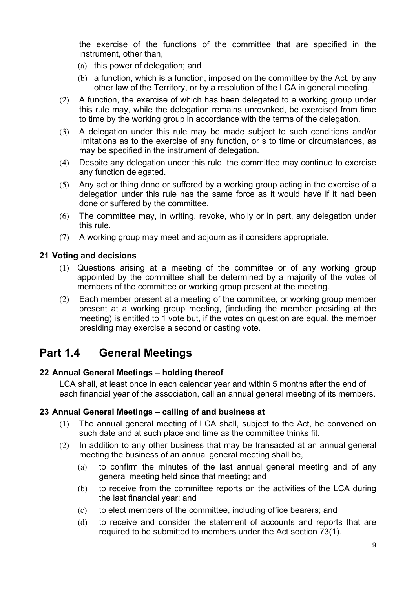the exercise of the functions of the committee that are specified in the instrument, other than,

- (a) this power of delegation; and
- (b) a function, which is a function, imposed on the committee by the Act, by any other law of the Territory, or by a resolution of the LCA in general meeting.
- (2) A function, the exercise of which has been delegated to a working group under this rule may, while the delegation remains unrevoked, be exercised from time to time by the working group in accordance with the terms of the delegation.
- (3) A delegation under this rule may be made subject to such conditions and/or limitations as to the exercise of any function, or s to time or circumstances, as may be specified in the instrument of delegation.
- (4) Despite any delegation under this rule, the committee may continue to exercise any function delegated.
- (5) Any act or thing done or suffered by a working group acting in the exercise of a delegation under this rule has the same force as it would have if it had been done or suffered by the committee.
- (6) The committee may, in writing, revoke, wholly or in part, any delegation under this rule.
- (7) A working group may meet and adjourn as it considers appropriate.

#### **21 Voting and decisions**

- (1) Questions arising at a meeting of the committee or of any working group appointed by the committee shall be determined by a majority of the votes of members of the committee or working group present at the meeting.
- (2) Each member present at a meeting of the committee, or working group member present at a working group meeting, (including the member presiding at the meeting) is entitled to 1 vote but, if the votes on question are equal, the member presiding may exercise a second or casting vote.

## **Part 1.4 General Meetings**

#### **22 Annual General Meetings – holding thereof**

LCA shall, at least once in each calendar year and within 5 months after the end of each financial year of the association, call an annual general meeting of its members.

#### **23 Annual General Meetings – calling of and business at**

- (1) The annual general meeting of LCA shall, subject to the Act, be convened on such date and at such place and time as the committee thinks fit.
- (2) In addition to any other business that may be transacted at an annual general meeting the business of an annual general meeting shall be,
	- (a) to confirm the minutes of the last annual general meeting and of any general meeting held since that meeting; and
	- (b) to receive from the committee reports on the activities of the LCA during the last financial year; and
	- (c) to elect members of the committee, including office bearers; and
	- (d) to receive and consider the statement of accounts and reports that are required to be submitted to members under the Act section 73(1).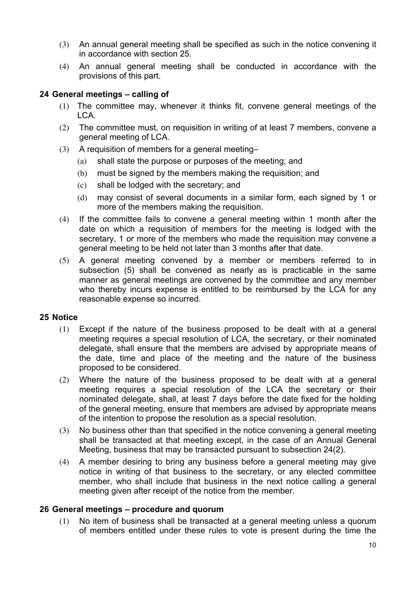- (3) An annual general meeting shall be specified as such in the notice convening it in accordance with section 25.
- (4) An annual general meeting shall be conducted in accordance with the provisions of this part.

#### **24 General meetings – calling of**

- (1) The committee may, whenever it thinks fit, convene general meetings of the LCA.
- (2) The committee must, on requisition in writing of at least 7 members, convene a general meeting of LCA.
- (3) A requisition of members for a general meeting–
	- (a) shall state the purpose or purposes of the meeting; and
	- (b) must be signed by the members making the requisition; and
	- (c) shall be lodged with the secretary; and
	- (d) may consist of several documents in a similar form, each signed by 1 or more of the members making the requisition.
- (4) If the committee fails to convene a general meeting within 1 month after the date on which a requisition of members for the meeting is lodged with the secretary, 1 or more of the members who made the requisition may convene a general meeting to be held not later than 3 months after that date.
- (5) A general meeting convened by a member or members referred to in subsection (5) shall be convened as nearly as is practicable in the same manner as general meetings are convened by the committee and any member who thereby incurs expense is entitled to be reimbursed by the LCA for any reasonable expense so incurred.

#### **25 Notice**

- (1) Except if the nature of the business proposed to be dealt with at a general meeting requires a special resolution of LCA, the secretary, or their nominated delegate, shall ensure that the members are advised by appropriate means of the date, time and place of the meeting and the nature of the business proposed to be considered.
- (2) Where the nature of the business proposed to be dealt with at a general meeting requires a special resolution of the LCA the secretary or their nominated delegate, shall, at least 7 days before the date fixed for the holding of the general meeting, ensure that members are advised by appropriate means of the intention to propose the resolution as a special resolution.
- (3) No business other than that specified in the notice convening a general meeting shall be transacted at that meeting except, in the case of an Annual General Meeting, business that may be transacted pursuant to subsection 24(2).
- (4) A member desiring to bring any business before a general meeting may give notice in writing of that business to the secretary, or any elected committee member, who shall include that business in the next notice calling a general meeting given after receipt of the notice from the member.

#### **26 General meetings – procedure and quorum**

(1) No item of business shall be transacted at a general meeting unless a quorum of members entitled under these rules to vote is present during the time the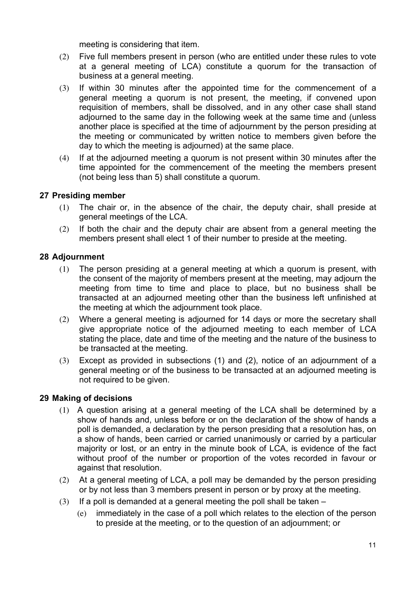meeting is considering that item.

- (2) Five full members present in person (who are entitled under these rules to vote at a general meeting of LCA) constitute a quorum for the transaction of business at a general meeting.
- (3) If within 30 minutes after the appointed time for the commencement of a general meeting a quorum is not present, the meeting, if convened upon requisition of members, shall be dissolved, and in any other case shall stand adjourned to the same day in the following week at the same time and (unless another place is specified at the time of adjournment by the person presiding at the meeting or communicated by written notice to members given before the day to which the meeting is adjourned) at the same place.
- (4) If at the adjourned meeting a quorum is not present within 30 minutes after the time appointed for the commencement of the meeting the members present (not being less than 5) shall constitute a quorum.

#### **27 Presiding member**

- (1) The chair or, in the absence of the chair, the deputy chair, shall preside at general meetings of the LCA.
- (2) If both the chair and the deputy chair are absent from a general meeting the members present shall elect 1 of their number to preside at the meeting.

#### **28 Adjournment**

- (1) The person presiding at a general meeting at which a quorum is present, with the consent of the majority of members present at the meeting, may adjourn the meeting from time to time and place to place, but no business shall be transacted at an adjourned meeting other than the business left unfinished at the meeting at which the adjournment took place.
- (2) Where a general meeting is adjourned for 14 days or more the secretary shall give appropriate notice of the adjourned meeting to each member of LCA stating the place, date and time of the meeting and the nature of the business to be transacted at the meeting.
- (3) Except as provided in subsections (1) and (2), notice of an adjournment of a general meeting or of the business to be transacted at an adjourned meeting is not required to be given.

#### **29 Making of decisions**

- (1) A question arising at a general meeting of the LCA shall be determined by a show of hands and, unless before or on the declaration of the show of hands a poll is demanded, a declaration by the person presiding that a resolution has, on a show of hands, been carried or carried unanimously or carried by a particular majority or lost, or an entry in the minute book of LCA, is evidence of the fact without proof of the number or proportion of the votes recorded in favour or against that resolution.
- (2) At a general meeting of LCA, a poll may be demanded by the person presiding or by not less than 3 members present in person or by proxy at the meeting.
- (3) If a poll is demanded at a general meeting the poll shall be taken
	- (e) immediately in the case of a poll which relates to the election of the person to preside at the meeting, or to the question of an adjournment; or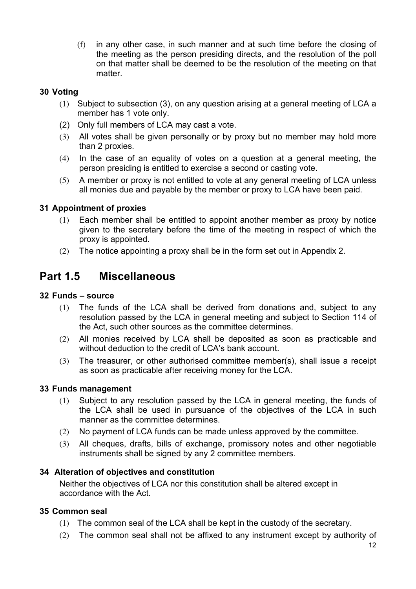(f) in any other case, in such manner and at such time before the closing of the meeting as the person presiding directs, and the resolution of the poll on that matter shall be deemed to be the resolution of the meeting on that matter.

#### **30 Voting**

- (1) Subject to subsection (3), on any question arising at a general meeting of LCA a member has 1 vote only.
- (2) Only full members of LCA may cast a vote.
- (3) All votes shall be given personally or by proxy but no member may hold more than 2 proxies.
- (4) In the case of an equality of votes on a question at a general meeting, the person presiding is entitled to exercise a second or casting vote.
- (5) A member or proxy is not entitled to vote at any general meeting of LCA unless all monies due and payable by the member or proxy to LCA have been paid.

#### **31 Appointment of proxies**

- (1) Each member shall be entitled to appoint another member as proxy by notice given to the secretary before the time of the meeting in respect of which the proxy is appointed.
- (2) The notice appointing a proxy shall be in the form set out in Appendix 2.

## **Part 1.5 Miscellaneous**

#### **32 Funds – source**

- (1) The funds of the LCA shall be derived from donations and, subject to any resolution passed by the LCA in general meeting and subject to Section 114 of the Act, such other sources as the committee determines.
- (2) All monies received by LCA shall be deposited as soon as practicable and without deduction to the credit of LCA's bank account.
- (3) The treasurer, or other authorised committee member(s), shall issue a receipt as soon as practicable after receiving money for the LCA.

#### **33 Funds management**

- (1) Subject to any resolution passed by the LCA in general meeting, the funds of the LCA shall be used in pursuance of the objectives of the LCA in such manner as the committee determines.
- (2) No payment of LCA funds can be made unless approved by the committee.
- (3) All cheques, drafts, bills of exchange, promissory notes and other negotiable instruments shall be signed by any 2 committee members.

#### **34 Alteration of objectives and constitution**

Neither the objectives of LCA nor this constitution shall be altered except in accordance with the Act.

#### **35 Common seal**

- (1) The common seal of the LCA shall be kept in the custody of the secretary.
- (2) The common seal shall not be affixed to any instrument except by authority of